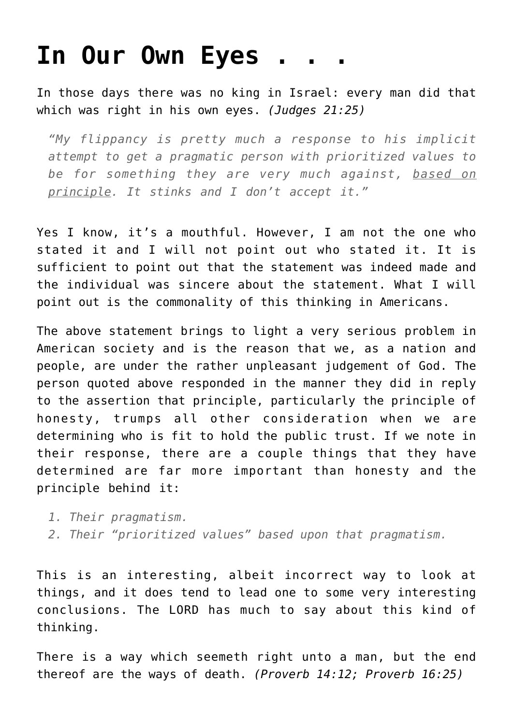## **[In Our Own Eyes . . .](http://reproachofmen.org/2008/03/in-our-own-eyes/)**

In those days there was no king in Israel: every man did that which was right in his own eyes. *(Judges 21:25)*

*"My flippancy is pretty much a response to his implicit attempt to get a pragmatic person with prioritized values to be for something they are very much against, based on principle. It stinks and I don't accept it."*

Yes I know, it's a mouthful. However, I am not the one who stated it and I will not point out who stated it. It is sufficient to point out that the statement was indeed made and the individual was sincere about the statement. What I will point out is the commonality of this thinking in Americans.

The above statement brings to light a very serious problem in American society and is the reason that we, as a nation and people, are under the rather unpleasant judgement of God. The person quoted above responded in the manner they did in reply to the assertion that principle, particularly the principle of honesty, trumps all other consideration when we are determining who is fit to hold the public trust. If we note in their response, there are a couple things that they have determined are far more important than honesty and the principle behind it:

- *1. Their pragmatism.*
- *2. Their "prioritized values" based upon that pragmatism.*

This is an interesting, albeit incorrect way to look at things, and it does tend to lead one to some very interesting conclusions. The LORD has much to say about this kind of thinking.

There is a way which seemeth right unto a man, but the end thereof are the ways of death. *(Proverb 14:12; Proverb 16:25)*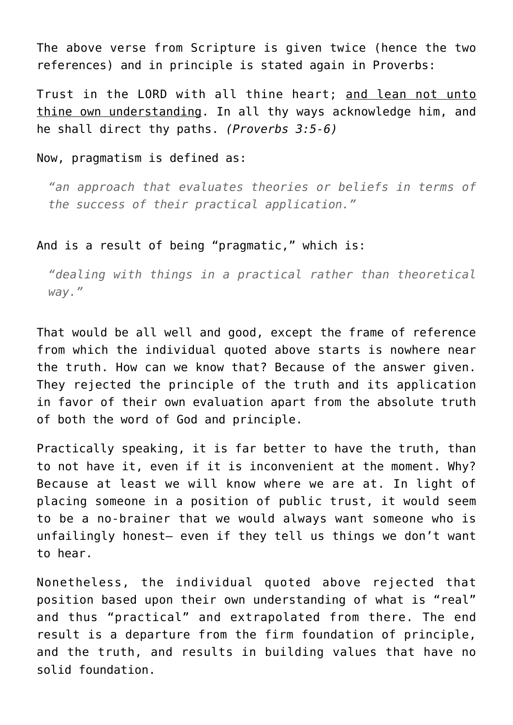The above verse from Scripture is given twice (hence the two references) and in principle is stated again in Proverbs:

Trust in the LORD with all thine heart; and lean not unto thine own understanding. In all thy ways acknowledge him, and he shall direct thy paths. *(Proverbs 3:5-6)*

Now, pragmatism is defined as:

*"an approach that evaluates theories or beliefs in terms of the success of their practical application."*

## And is a result of being "pragmatic," which is:

*"dealing with things in a practical rather than theoretical way."*

That would be all well and good, except the frame of reference from which the individual quoted above starts is nowhere near the truth. How can we know that? Because of the answer given. They rejected the principle of the truth and its application in favor of their own evaluation apart from the absolute truth of both the word of God and principle.

Practically speaking, it is far better to have the truth, than to not have it, even if it is inconvenient at the moment. Why? Because at least we will know where we are at. In light of placing someone in a position of public trust, it would seem to be a no-brainer that we would always want someone who is unfailingly honest– even if they tell us things we don't want to hear.

Nonetheless, the individual quoted above rejected that position based upon their own understanding of what is "real" and thus "practical" and extrapolated from there. The end result is a departure from the firm foundation of principle, and the truth, and results in building values that have no solid foundation.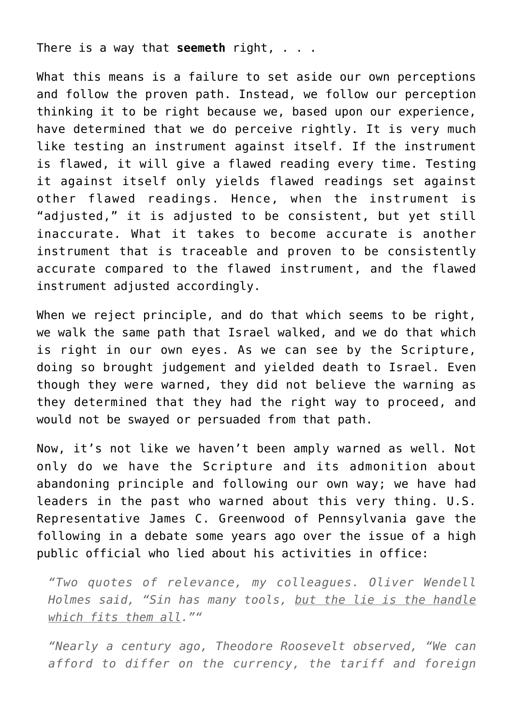There is a way that **seemeth** right, . . .

What this means is a failure to set aside our own perceptions and follow the proven path. Instead, we follow our perception thinking it to be right because we, based upon our experience, have determined that we do perceive rightly. It is very much like testing an instrument against itself. If the instrument is flawed, it will give a flawed reading every time. Testing it against itself only yields flawed readings set against other flawed readings. Hence, when the instrument is "adjusted," it is adjusted to be consistent, but yet still inaccurate. What it takes to become accurate is another instrument that is traceable and proven to be consistently accurate compared to the flawed instrument, and the flawed instrument adjusted accordingly.

When we reject principle, and do that which seems to be right, we walk the same path that Israel walked, and we do that which is right in our own eyes. As we can see by the Scripture, doing so brought judgement and yielded death to Israel. Even though they were warned, they did not believe the warning as they determined that they had the right way to proceed, and would not be swayed or persuaded from that path.

Now, it's not like we haven't been amply warned as well. Not only do we have the Scripture and its admonition about abandoning principle and following our own way; we have had leaders in the past who warned about this very thing. U.S. Representative James C. Greenwood of Pennsylvania gave the following in a debate some years ago over the issue of a high public official who lied about his activities in office:

*"Two quotes of relevance, my colleagues. Oliver Wendell Holmes said, "Sin has many tools, but the lie is the handle which fits them all.""*

*"Nearly a century ago, Theodore Roosevelt observed, "We can afford to differ on the currency, the tariff and foreign*